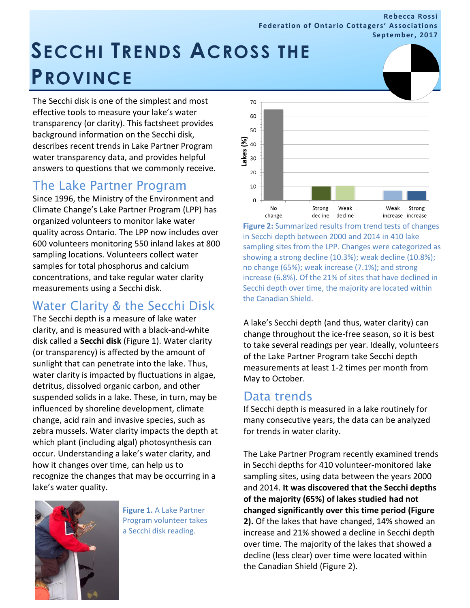**Rebecca Rossi Federation of Ontario Cottagers' Associations September, 2017**

# **SECCHI TRENDS ACROSS THE PROVINCE**

The Secchi disk is one of the simplest and most effective tools to measure your lake's water transparency (or clarity). This factsheet provides background information on the Secchi disk, describes recent trends in Lake Partner Program water transparency data, and provides helpful answers to questions that we commonly receive.

# The Lake Partner Program

Since 1996, the Ministry of the Environment and Climate Change's Lake Partner Program (LPP) has organized volunteers to monitor lake water quality across Ontario. The LPP now includes over 600 volunteers monitoring 550 inland lakes at 800 sampling locations. Volunteers collect water samples for total phosphorus and calcium concentrations, and take regular water clarity measurements using a Secchi disk.

# Water Clarity & the Secchi Disk

The Secchi depth is a measure of lake water clarity, and is measured with a black-and-white disk called a **Secchi disk** (Figure 1). Water clarity (or transparency) is affected by the amount of sunlight that can penetrate into the lake. Thus, water clarity is impacted by fluctuations in algae, detritus, dissolved organic carbon, and other suspended solids in a lake. These, in turn, may be influenced by shoreline development, climate change, acid rain and invasive species, such as zebra mussels. Water clarity impacts the depth at which plant (including algal) photosynthesis can occur. Understanding a lake's water clarity, and how it changes over time, can help us to recognize the changes that may be occurring in a lake's water quality.



**Figure 1.** A Lake Partner Program volunteer takes a Secchi disk reading.



**Figure 2:** Summarized results from trend tests of changes in Secchi depth between 2000 and 2014 in 410 lake sampling sites from the LPP. Changes were categorized as showing a strong decline (10.3%); weak decline (10.8%); no change (65%); weak increase (7.1%); and strong increase (6.8%). Of the 21% of sites that have declined in Secchi depth over time, the majority are located within the Canadian Shield.

A lake's Secchi depth (and thus, water clarity) can change throughout the ice-free season, so it is best to take several readings per year. Ideally, volunteers of the Lake Partner Program take Secchi depth measurements at least 1-2 times per month from May to October.

# Data trends

If Secchi depth is measured in a lake routinely for many consecutive years, the data can be analyzed for trends in water clarity.

The Lake Partner Program recently examined trends in Secchi depths for 410 volunteer-monitored lake sampling sites, using data between the years 2000 and 2014. **It was discovered that the Secchi depths of the majority (65%) of lakes studied had not changed significantly over this time period (Figure 2).** Of the lakes that have changed, 14% showed an increase and 21% showed a decline in Secchi depth over time. The majority of the lakes that showed a decline (less clear) over time were located within the Canadian Shield (Figure 2).